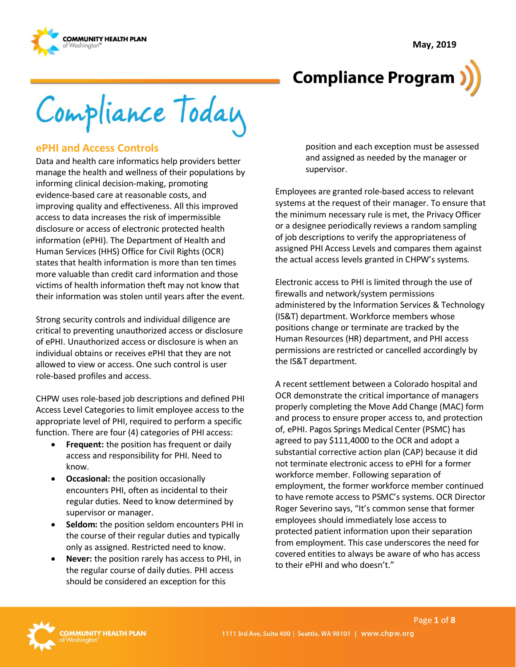**May, 2019**





Compliance Today

#### **ePHI and Access Controls**

Data and health care informatics help providers better manage the health and wellness of their populations by informing clinical decision-making, promoting evidence-based care at reasonable costs, and improving quality and effectiveness. All this improved access to data increases the risk of impermissible disclosure or access of electronic protected health information (ePHI). The Department of Health and Human Services (HHS) Office for Civil Rights (OCR) states that health information is more than ten times more valuable than credit card information and those victims of health information theft may not know that their information was stolen until years after the event.

Strong security controls and individual diligence are critical to preventing unauthorized access or disclosure of ePHI. Unauthorized access or disclosure is when an individual obtains or receives ePHI that they are not allowed to view or access. One such control is user role-based profiles and access.

CHPW uses role-based job descriptions and defined PHI Access Level Categories to limit employee access to the appropriate level of PHI, required to perform a specific function. There are four (4) categories of PHI access:

- **Frequent:** the position has frequent or daily access and responsibility for PHI. Need to know.
- **Occasional:** the position occasionally encounters PHI, often as incidental to their regular duties. Need to know determined by supervisor or manager.
- **Seldom:** the position seldom encounters PHI in the course of their regular duties and typically only as assigned. Restricted need to know.
- **Never:** the position rarely has access to PHI, in the regular course of daily duties. PHI access should be considered an exception for this

position and each exception must be assessed and assigned as needed by the manager or supervisor.

Employees are granted role-based access to relevant systems at the request of their manager. To ensure that the minimum necessary rule is met, the Privacy Officer or a designee periodically reviews a random sampling of job descriptions to verify the appropriateness of assigned PHI Access Levels and compares them against the actual access levels granted in CHPW's systems.

Electronic access to PHI is limited through the use of firewalls and network/system permissions administered by the Information Services & Technology (IS&T) department. Workforce members whose positions change or terminate are tracked by the Human Resources (HR) department, and PHI access permissions are restricted or cancelled accordingly by the IS&T department.

A recent settlement between a Colorado hospital and OCR demonstrate the critical importance of managers properly completing the Move Add Change (MAC) form and process to ensure proper access to, and protection of, ePHI. Pagos Springs Medical Center (PSMC) has agreed to pay \$111,4000 to the OCR and adopt a substantial corrective action plan (CAP) because it did not terminate electronic access to ePHI for a former workforce member. Following separation of employment, the former workforce member continued to have remote access to PSMC's systems. OCR Director Roger Severino says, "It's common sense that former employees should immediately lose access to protected patient information upon their separation from employment. This case underscores the need for covered entities to always be aware of who has access to their ePHI and who doesn't."

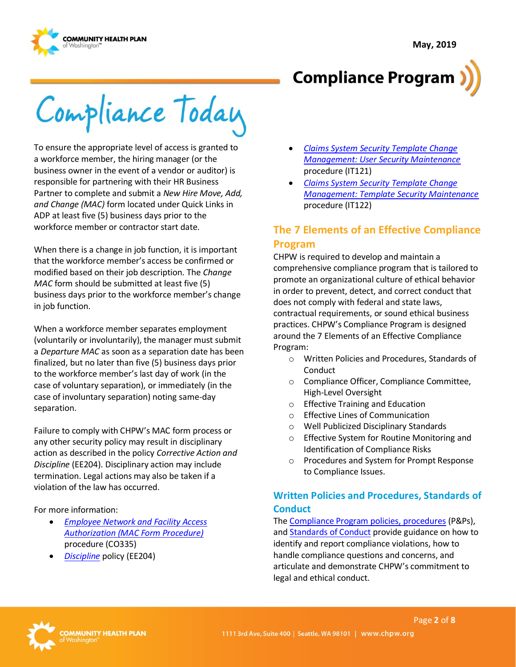



Compliance Today

To ensure the appropriate level of access is granted to a workforce member, the hiring manager (or the business owner in the event of a vendor or auditor) is responsible for partnering with their HR Business Partner to complete and submit a *New Hire Move, Add, and Change (MAC)* form located under Quick Links in ADP at least five (5) business days prior to the workforce member or contractor start date.

When there is a change in job function, it is important that the workforce member's access be confirmed or modified based on their job description. The *Change MAC* form should be submitted at least five (5) business days prior to the workforce member's change in job function.

When a workforce member separates employment (voluntarily or involuntarily), the manager must submit a *Departure MAC* as soon as a separation date has been finalized, but no later than five (5) business days prior to the workforce member's last day of work (in the case of voluntary separation), or immediately (in the case of involuntary separation) noting same-day separation.

Failure to comply with CHPW's MAC form process or any other security policy may result in disciplinary action as described in the policy *Corrective Action and Discipline* (EE204). Disciplinary action may include termination. Legal actions may also be taken if a violation of the law has occurred.

For more information:

- *[Employee Network and Facility Access](http://chpsp/PP/Compliance/Employee%20Network%20and%20Facility%20Access%20Authorization%20MAC%20Form%20Procedure%20-%20CO335.pdf)  [Authorization \(MAC Form Procedure\)](http://chpsp/PP/Compliance/Employee%20Network%20and%20Facility%20Access%20Authorization%20MAC%20Form%20Procedure%20-%20CO335.pdf)* procedure (CO335)
- *Discipline* policy (EE204)
- *[Claims System Security Template Change](http://chpsp/PP/IST/Claims%20System%20Security%20Template%20Change%20Managment%20-%20User%20Security%20Maintenance%20Procedure%20-%20IT121.pdf)  [Management: User Security Maintenance](http://chpsp/PP/IST/Claims%20System%20Security%20Template%20Change%20Managment%20-%20User%20Security%20Maintenance%20Procedure%20-%20IT121.pdf)* procedure (IT121)
- *[Claims System Security Template Change](http://chpsp/PP/IST/Claims%20System%20Security%20Template%20Change%20Management%20-%20Template%20Security%20Maintenance%20Procedure%20-%20IT122.pdf)  [Management: Template Security Maintenance](http://chpsp/PP/IST/Claims%20System%20Security%20Template%20Change%20Management%20-%20Template%20Security%20Maintenance%20Procedure%20-%20IT122.pdf)* procedure (IT122)

### **The 7 Elements of an Effective Compliance Program**

CHPW is required to develop and maintain a comprehensive compliance program that is tailored to promote an organizational culture of ethical behavior in order to prevent, detect, and correct conduct that does not comply with federal and state laws, contractual requirements, or sound ethical business practices. CHPW's Compliance Program is designed around the 7 Elements of an Effective Compliance Program:

- o Written Policies and Procedures, Standards of Conduct
- o Compliance Officer, Compliance Committee, High-Level Oversight
- o Effective Training and Education
- o Effective Lines of Communication
- o Well Publicized Disciplinary Standards
- o Effective System for Routine Monitoring and Identification of Compliance Risks
- o Procedures and System for Prompt Response to Compliance Issues.

#### **Written Policies and Procedures, Standards of Conduct**

Th[e Compliance Program policies, procedures](http://chpsp/PP/Compliance/Forms/AllItems.aspx) (P&Ps), and **Standards of Conduct** provide guidance on how to identify and report compliance violations, how to handle compliance questions and concerns, and articulate and demonstrate CHPW's commitment to legal and ethical conduct.

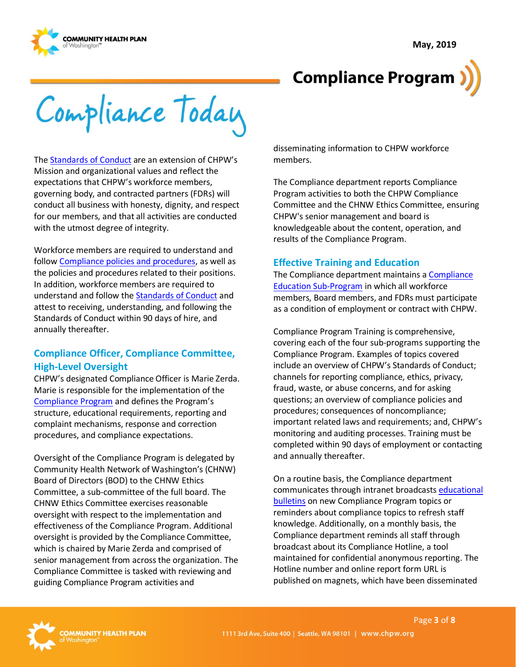

Compliance Today

Th[e Standards of Conduct](https://inside.chpw.org/departments/compliance/wiki/standards_of_conduct) are an extension of CHPW's Mission and organizational values and reflect the expectations that CHPW's workforce members, governing body, and contracted partners (FDRs) will conduct all business with honesty, dignity, and respect for our members, and that all activities are conducted with the utmost degree of integrity.

Workforce members are required to understand and follo[w Compliance policies and procedures,](http://chpsp/PP/Compliance/Forms/AllItems.aspx) as well as the policies and procedures related to their positions. In addition, workforce members are required to understand and follow the [Standards of Conduct](https://inside.chpw.org/departments/compliance/wiki/standards_of_conduct) and attest to receiving, understanding, and following the Standards of Conduct within 90 days of hire, and annually thereafter.

#### **Compliance Officer, Compliance Committee, High-Level Oversight**

CHPW's designated Compliance Officer is Marie Zerda. Marie is responsible for the implementation of the [Compliance Program](http://chpsp/PP/Compliance/Compliance%20Program%20Description%20-%20CO-PROG1.pdf) and defines the Program's structure, educational requirements, reporting and complaint mechanisms, response and correction procedures, and compliance expectations.

Oversight of the Compliance Program is delegated by Community Health Network of Washington's (CHNW) Board of Directors (BOD) to the CHNW Ethics Committee, a sub-committee of the full board. The CHNW Ethics Committee exercises reasonable oversight with respect to the implementation and effectiveness of the Compliance Program. Additional oversight is provided by the Compliance Committee, which is chaired by Marie Zerda and comprised of senior management from across the organization. The Compliance Committee is tasked with reviewing and guiding Compliance Program activities and

disseminating information to CHPW workforce members.

The Compliance department reports Compliance Program activities to both the CHPW Compliance Committee and the CHNW Ethics Committee, ensuring CHPW's senior management and board is knowledgeable about the content, operation, and results of the Compliance Program.

#### **Effective Training and Education**

The Compliance department maintains [a Compliance](http://chpsp/PP/Compliance/Compliance%20Education%20Program%20Description%20-%20CO-PROG2.pdf)  [Education Sub-Program](http://chpsp/PP/Compliance/Compliance%20Education%20Program%20Description%20-%20CO-PROG2.pdf) in which all workforce members, Board members, and FDRs must participate as a condition of employment or contract with CHPW.

Compliance Program Training is comprehensive, covering each of the four sub-programs supporting the Compliance Program. Examples of topics covered include an overview of CHPW's Standards of Conduct; channels for reporting compliance, ethics, privacy, fraud, waste, or abuse concerns, and for asking questions; an overview of compliance policies and procedures; consequences of noncompliance; important related laws and requirements; and, CHPW's monitoring and auditing processes. Training must be completed within 90 days of employment or contacting and annually thereafter.

On a routine basis, the Compliance department communicates through intranet broadcasts [educational](https://inside.chpw.org/departments/compliance/blogs)  [bulletins](https://inside.chpw.org/departments/compliance/blogs) on new Compliance Program topics or reminders about compliance topics to refresh staff knowledge. Additionally, on a monthly basis, the Compliance department reminds all staff through broadcast about its Compliance Hotline, a tool maintained for confidential anonymousreporting. The Hotline number and online report form URL is published on magnets, which have been disseminated

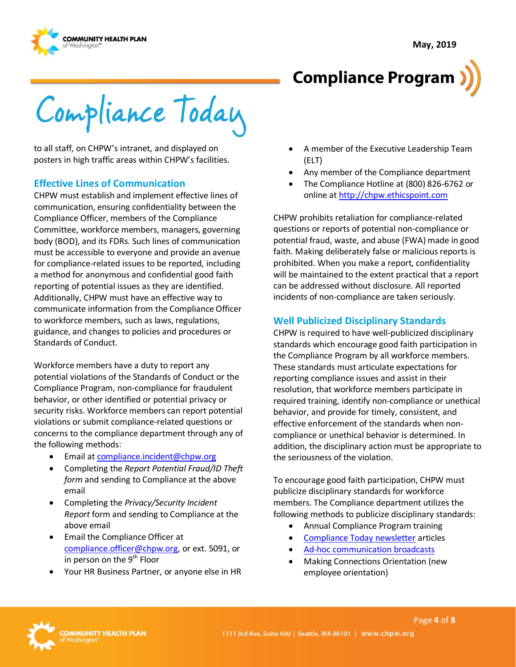



**Compliance Program** 

Compliance Today

to all staff, on CHPW's intranet, and displayed on posters in high traffic areas within CHPW's facilities.

#### **Effective Lines of Communication**

CHPW must establish and implement effective lines of communication, ensuring confidentiality between the Compliance Officer, members of the Compliance Committee, workforce members, managers, governing body (BOD), and its FDRs. Such lines of communication must be accessible to everyone and provide an avenue for compliance-related issues to be reported, including a method for anonymous and confidential good faith reporting of potential issues as they are identified. Additionally, CHPW must have an effective way to communicate information from the Compliance Officer to workforce members, such as laws, regulations, guidance, and changes to policies and procedures or Standards of Conduct.

Workforce members have a duty to report any potential violations of the Standards of Conduct or the Compliance Program, non-compliance for fraudulent behavior, or other identified or potential privacy or security risks. Workforce members can report potential violations or submit compliance-related questions or concerns to the compliance department through any of the following methods:

- Email a[t compliance.incident@chpw.org](mailto:compliance.incident@chpw.org)
- Completing the *Report Potential Fraud/ID Theft form* and sending to Compliance at the above email
- Completing the *Privacy/Security Incident Report* form and sending to Compliance at the above email
- Email the Compliance Officer at [compliance.officer@chpw.org,](mailto:compliance.officer@chpw.org) or ext. 5091, or in person on the  $9<sup>th</sup>$  Floor
- Your HR Business Partner, or anyone else in HR
- A member of the Executive Leadership Team (ELT)
- Any member of the Compliance department
- The Compliance Hotline at (800) 826-6762 or online at [http://chpw.ethicspoint.com](http://chpw.ethicspoint.com/)

CHPW prohibits retaliation for compliance-related questions or reports of potential non-compliance or potential fraud, waste, and abuse (FWA) made in good faith. Making deliberately false or malicious reports is prohibited. When you make a report, confidentiality will be maintained to the extent practical that a report can be addressed without disclosure. All reported incidents of non-compliance are taken seriously.

#### **Well Publicized Disciplinary Standards**

CHPW is required to have well-publicized disciplinary standards which encourage good faith participation in the Compliance Program by all workforce members. These standards must articulate expectations for reporting compliance issues and assist in their resolution, that workforce members participate in required training, identify non-compliance or unethical behavior, and provide for timely, consistent, and effective enforcement of the standards when noncompliance or unethical behavior is determined. In addition, the disciplinary action must be appropriate to the seriousness of the violation.

To encourage good faith participation, CHPW must publicize disciplinary standards for workforce members. The Compliance department utilizes the following methods to publicize disciplinary standards:

- Annual Compliance Program training
- [Compliance Today newsletter](https://inside.chpw.org/departments/compliance/compliance_today_newsletter) articles
- [Ad-hoc communication broadcasts](https://inside.chpw.org/departments/compliance/blogs)
- Making Connections Orientation (new employee orientation)

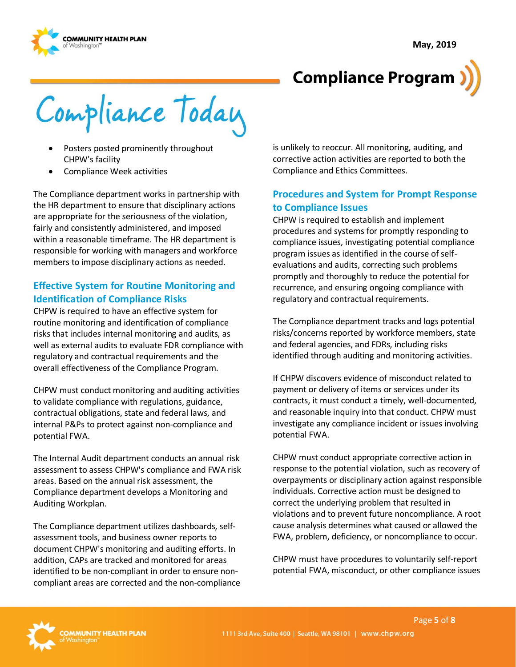

Compliance Today

- Posters posted prominently throughout CHPW's facility
- Compliance Week activities

The Compliance department works in partnership with the HR department to ensure that disciplinary actions are appropriate for the seriousness of the violation, fairly and consistently administered, and imposed within a reasonable timeframe. The HR department is responsible for working with managers and workforce members to impose disciplinary actions as needed.

#### **Effective System for Routine Monitoring and Identification of Compliance Risks**

CHPW is required to have an effective system for routine monitoring and identification of compliance risks that includes internal monitoring and audits, as well as external audits to evaluate FDR compliance with regulatory and contractual requirements and the overall effectiveness of the Compliance Program.

CHPW must conduct monitoring and auditing activities to validate compliance with regulations, guidance, contractual obligations, state and federal laws, and internal P&Ps to protect against non-compliance and potential FWA.

The Internal Audit department conducts an annual risk assessment to assess CHPW's compliance and FWA risk areas. Based on the annual risk assessment, the Compliance department develops a Monitoring and Auditing Workplan.

The Compliance department utilizes dashboards, selfassessment tools, and business owner reports to document CHPW's monitoring and auditing efforts. In addition, CAPs are tracked and monitored for areas identified to be non-compliant in order to ensure noncompliant areas are corrected and the non-compliance is unlikely to reoccur. All monitoring, auditing, and corrective action activities are reported to both the Compliance and Ethics Committees.

#### **Procedures and System for Prompt Response to Compliance Issues**

CHPW is required to establish and implement procedures and systems for promptly responding to compliance issues, investigating potential compliance program issues as identified in the course of selfevaluations and audits, correcting such problems promptly and thoroughly to reduce the potential for recurrence, and ensuring ongoing compliance with regulatory and contractual requirements.

The Compliance department tracks and logs potential risks/concerns reported by workforce members, state and federal agencies, and FDRs, including risks identified through auditing and monitoring activities.

If CHPW discovers evidence of misconduct related to payment or delivery of items or services under its contracts, it must conduct a timely, well-documented, and reasonable inquiry into that conduct. CHPW must investigate any compliance incident or issues involving potential FWA.

CHPW must conduct appropriate corrective action in response to the potential violation, such as recovery of overpayments or disciplinary action against responsible individuals. Corrective action must be designed to correct the underlying problem that resulted in violations and to prevent future noncompliance. A root cause analysis determines what caused or allowed the FWA, problem, deficiency, or noncompliance to occur.

CHPW must have procedures to voluntarily self-report potential FWA, misconduct, or other compliance issues

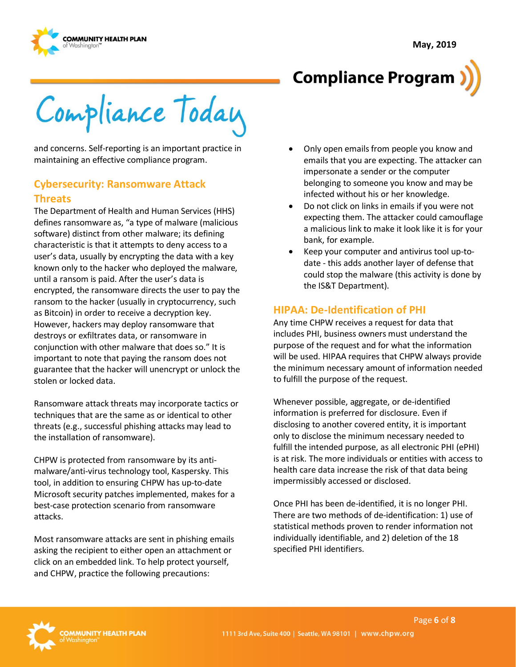



Compliance Today

and concerns. Self-reporting is an important practice in maintaining an effective compliance program.

#### **Cybersecurity: Ransomware Attack Threats**

The Department of Health and Human Services (HHS) defines ransomware as, "a type of malware (malicious software) distinct from other malware; its defining characteristic is that it attempts to deny access to a user's data, usually by encrypting the data with a key known only to the hacker who deployed the malware, until a ransom is paid. After the user's data is encrypted, the ransomware directs the user to pay the ransom to the hacker (usually in cryptocurrency, such as Bitcoin) in order to receive a decryption key. However, hackers may deploy ransomware that destroys or exfiltrates data, or ransomware in conjunction with other malware that does so." It is important to note that paying the ransom does not guarantee that the hacker will unencrypt or unlock the stolen or locked data.

Ransomware attack threats may incorporate tactics or techniques that are the same as or identical to other threats (e.g., successful phishing attacks may lead to the installation of ransomware).

CHPW is protected from ransomware by its antimalware/anti-virus technology tool, Kaspersky. This tool, in addition to ensuring CHPW has up-to-date Microsoft security patches implemented, makes for a best-case protection scenario from ransomware attacks.

Most ransomware attacks are sent in phishing emails asking the recipient to either open an attachment or click on an embedded link. To help protect yourself, and CHPW, practice the following precautions:

- Only open emails from people you know and emails that you are expecting. The attacker can impersonate a sender or the computer belonging to someone you know and may be infected without his or her knowledge.
- Do not click on links in emails if you were not expecting them. The attacker could camouflage a malicious link to make it look like it is for your bank, for example.
- Keep your computer and antivirus tool up-todate - this adds another layer of defense that could stop the malware (this activity is done by the IS&T Department).

#### **HIPAA: De-Identification of PHI**

Any time CHPW receives a request for data that includes PHI, business owners must understand the purpose of the request and for what the information will be used. HIPAA requires that CHPW always provide the minimum necessary amount of information needed to fulfill the purpose of the request.

Whenever possible, aggregate, or de-identified information is preferred for disclosure. Even if disclosing to another covered entity, it is important only to disclose the minimum necessary needed to fulfill the intended purpose, as all electronic PHI (ePHI) is at risk. The more individuals or entities with access to health care data increase the risk of that data being impermissibly accessed or disclosed.

Once PHI has been de-identified, it is no longer PHI. There are two methods of de-identification: 1) use of statistical methods proven to render information not individually identifiable, and 2) deletion of the 18 specified PHI identifiers.

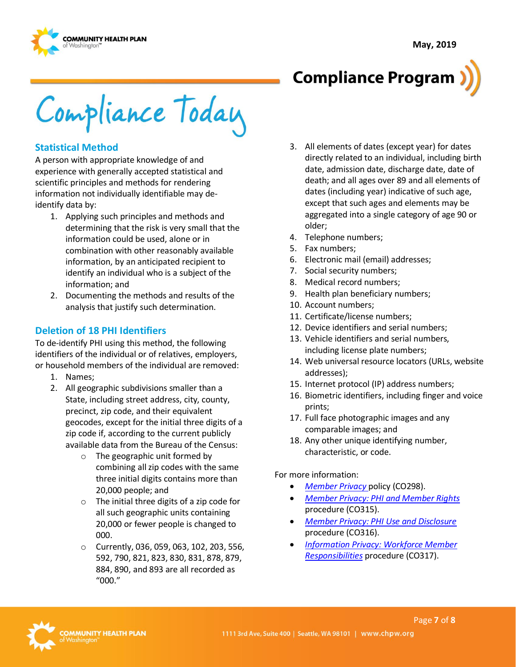

Compliance Today

#### **Statistical Method**

A person with appropriate knowledge of and experience with generally accepted statistical and scientific principles and methods for rendering information not individually identifiable may deidentify data by:

- 1. Applying such principles and methods and determining that the risk is very small that the information could be used, alone or in combination with other reasonably available information, by an anticipated recipient to identify an individual who is a subject of the information; and
- 2. Documenting the methods and results of the analysis that justify such determination.

#### **Deletion of 18 PHI Identifiers**

To de-identify PHI using this method, the following identifiers of the individual or of relatives, employers, or household members of the individual are removed:

- 1. Names;
- 2. All geographic subdivisions smaller than a State, including street address, city, county, precinct, zip code, and their equivalent geocodes, except for the initial three digits of a zip code if, according to the current publicly available data from the Bureau of the Census:
	- o The geographic unit formed by combining all zip codes with the same three initial digits contains more than 20,000 people; and
	- o The initial three digits of a zip code for all such geographic units containing 20,000 or fewer people is changed to 000.
	- o Currently, 036, 059, 063, 102, 203, 556, 592, 790, 821, 823, 830, 831, 878, 879, 884, 890, and 893 are all recorded as "000."
- 3. All elements of dates (except year) for dates directly related to an individual, including birth date, admission date, discharge date, date of death; and all ages over 89 and all elements of dates (including year) indicative of such age, except that such ages and elements may be aggregated into a single category of age 90 or older;
- 4. Telephone numbers;
- 5. Fax numbers;
- 6. Electronic mail (email) addresses;
- 7. Social security numbers;
- 8. Medical record numbers;
- 9. Health plan beneficiary numbers;
- 10. Account numbers;
- 11. Certificate/license numbers;
- 12. Device identifiers and serial numbers;
- 13. Vehicle identifiers and serial numbers, including license plate numbers;
- 14. Web universal resource locators (URLs, website addresses);
- 15. Internet protocol (IP) address numbers;
- 16. Biometric identifiers, including finger and voice prints;
- 17. Full face photographic images and any comparable images; and
- 18. Any other unique identifying number, characteristic, or code.

For more information:

- *[Member Privacy](http://chpsp/PP/Compliance/Member%20Privacy%20Policy%20-%20CO298.pdf)* policy (CO298).
- *[Member Privacy: PHI and Member Rights](http://chpsp/PP/Compliance/Member%20Privacy-PHI%20and%20Member%20Rights%20Procedure%20-%20CO315.pdf)* procedure (CO315).
- *[Member Privacy: PHI Use and Disclosure](http://chpsp/PP/Compliance/Member%20Privacy-PHI%20Use%20and%20Disclosure%20Procedure%20-%20CO316.pdf)* procedure (CO316).
- *[Information Privacy: Workforce Member](http://chpsp/PP/Compliance/Information%20Privacy%20Workforce%20Member%20Responsibilities%20Procedure%20-%20CO317.pdf)  [Responsibilities](http://chpsp/PP/Compliance/Information%20Privacy%20Workforce%20Member%20Responsibilities%20Procedure%20-%20CO317.pdf)* procedure (CO317).